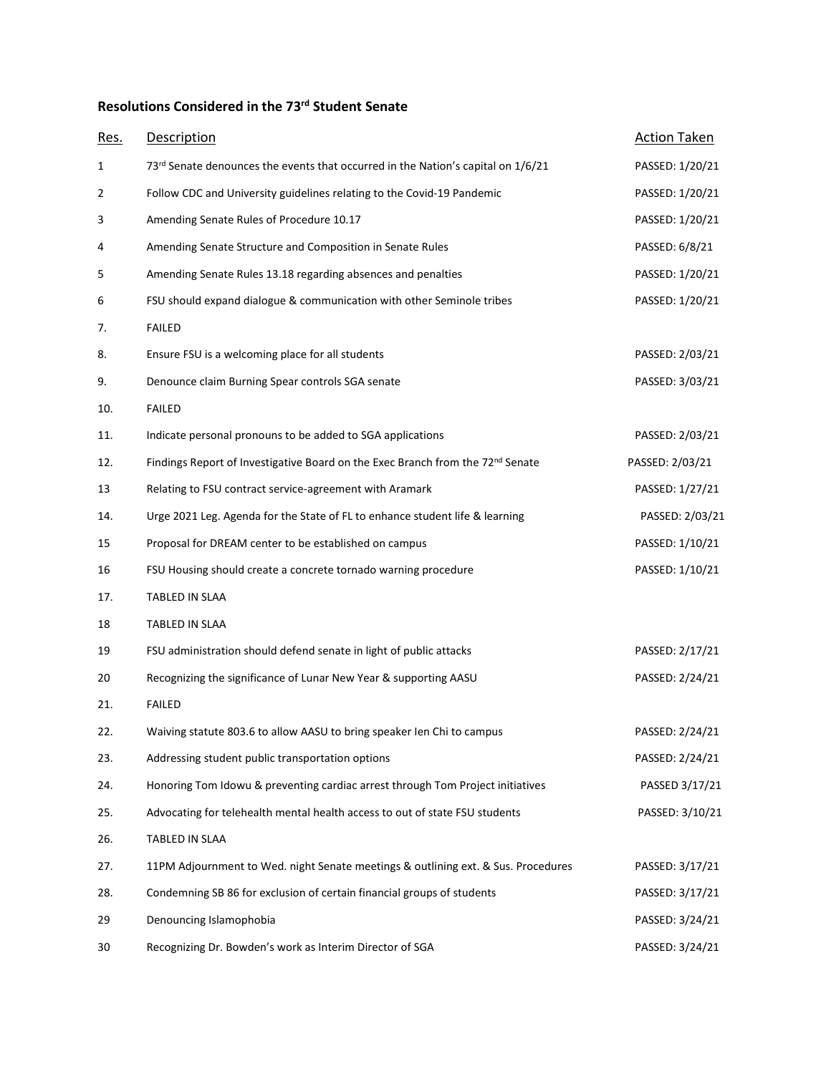## **Resolutions Considered in the 73rd Student Senate**

| Res.           | <b>Description</b>                                                                | <b>Action Taken</b> |
|----------------|-----------------------------------------------------------------------------------|---------------------|
| 1              | 73rd Senate denounces the events that occurred in the Nation's capital on 1/6/21  | PASSED: 1/20/21     |
| $\overline{2}$ | Follow CDC and University guidelines relating to the Covid-19 Pandemic            | PASSED: 1/20/21     |
| 3              | Amending Senate Rules of Procedure 10.17                                          | PASSED: 1/20/21     |
| 4              | Amending Senate Structure and Composition in Senate Rules                         | PASSED: 6/8/21      |
| 5              | Amending Senate Rules 13.18 regarding absences and penalties                      | PASSED: 1/20/21     |
| 6              | FSU should expand dialogue & communication with other Seminole tribes             | PASSED: 1/20/21     |
| 7.             | <b>FAILED</b>                                                                     |                     |
| 8.             | Ensure FSU is a welcoming place for all students                                  | PASSED: 2/03/21     |
| 9.             | Denounce claim Burning Spear controls SGA senate                                  | PASSED: 3/03/21     |
| 10.            | <b>FAILED</b>                                                                     |                     |
| 11.            | Indicate personal pronouns to be added to SGA applications                        | PASSED: 2/03/21     |
| 12.            | Findings Report of Investigative Board on the Exec Branch from the 72nd Senate    | PASSED: 2/03/21     |
| 13             | Relating to FSU contract service-agreement with Aramark                           | PASSED: 1/27/21     |
| 14.            | Urge 2021 Leg. Agenda for the State of FL to enhance student life & learning      | PASSED: 2/03/21     |
| 15             | Proposal for DREAM center to be established on campus                             | PASSED: 1/10/21     |
| 16             | FSU Housing should create a concrete tornado warning procedure                    | PASSED: 1/10/21     |
| 17.            | TABLED IN SLAA                                                                    |                     |
| 18             | TABLED IN SLAA                                                                    |                     |
| 19             | FSU administration should defend senate in light of public attacks                | PASSED: 2/17/21     |
| 20             | Recognizing the significance of Lunar New Year & supporting AASU                  | PASSED: 2/24/21     |
| 21.            | <b>FAILED</b>                                                                     |                     |
| 22.            | Waiving statute 803.6 to allow AASU to bring speaker len Chi to campus            | PASSED: 2/24/21     |
| 23.            | Addressing student public transportation options                                  | PASSED: 2/24/21     |
| 24.            | Honoring Tom Idowu & preventing cardiac arrest through Tom Project initiatives    | PASSED 3/17/21      |
| 25.            | Advocating for telehealth mental health access to out of state FSU students       | PASSED: 3/10/21     |
| 26.            | TABLED IN SLAA                                                                    |                     |
| 27.            | 11PM Adjournment to Wed. night Senate meetings & outlining ext. & Sus. Procedures | PASSED: 3/17/21     |
| 28.            | Condemning SB 86 for exclusion of certain financial groups of students            | PASSED: 3/17/21     |
| 29             | Denouncing Islamophobia                                                           | PASSED: 3/24/21     |
| 30             | Recognizing Dr. Bowden's work as Interim Director of SGA                          | PASSED: 3/24/21     |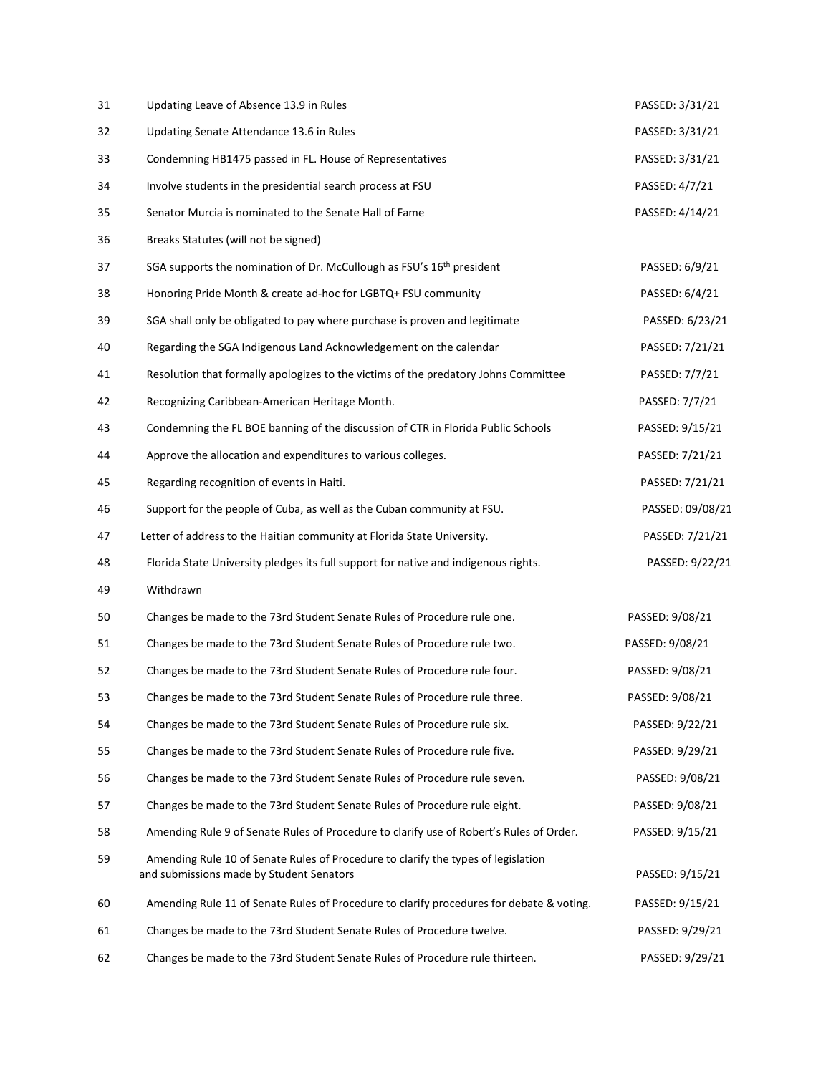| 31 | Updating Leave of Absence 13.9 in Rules                                                                                       | PASSED: 3/31/21  |
|----|-------------------------------------------------------------------------------------------------------------------------------|------------------|
| 32 | Updating Senate Attendance 13.6 in Rules                                                                                      | PASSED: 3/31/21  |
| 33 | Condemning HB1475 passed in FL. House of Representatives                                                                      | PASSED: 3/31/21  |
| 34 | Involve students in the presidential search process at FSU                                                                    | PASSED: 4/7/21   |
| 35 | Senator Murcia is nominated to the Senate Hall of Fame                                                                        | PASSED: 4/14/21  |
| 36 | Breaks Statutes (will not be signed)                                                                                          |                  |
| 37 | SGA supports the nomination of Dr. McCullough as FSU's 16th president                                                         | PASSED: 6/9/21   |
| 38 | Honoring Pride Month & create ad-hoc for LGBTQ+ FSU community                                                                 | PASSED: 6/4/21   |
| 39 | SGA shall only be obligated to pay where purchase is proven and legitimate                                                    | PASSED: 6/23/21  |
| 40 | Regarding the SGA Indigenous Land Acknowledgement on the calendar                                                             | PASSED: 7/21/21  |
| 41 | Resolution that formally apologizes to the victims of the predatory Johns Committee                                           | PASSED: 7/7/21   |
| 42 | Recognizing Caribbean-American Heritage Month.                                                                                | PASSED: 7/7/21   |
| 43 | Condemning the FL BOE banning of the discussion of CTR in Florida Public Schools                                              | PASSED: 9/15/21  |
| 44 | Approve the allocation and expenditures to various colleges.                                                                  | PASSED: 7/21/21  |
| 45 | Regarding recognition of events in Haiti.                                                                                     | PASSED: 7/21/21  |
| 46 | Support for the people of Cuba, as well as the Cuban community at FSU.                                                        | PASSED: 09/08/21 |
| 47 | Letter of address to the Haitian community at Florida State University.                                                       | PASSED: 7/21/21  |
| 48 | Florida State University pledges its full support for native and indigenous rights.                                           | PASSED: 9/22/21  |
| 49 | Withdrawn                                                                                                                     |                  |
| 50 | Changes be made to the 73rd Student Senate Rules of Procedure rule one.                                                       | PASSED: 9/08/21  |
| 51 | Changes be made to the 73rd Student Senate Rules of Procedure rule two.                                                       | PASSED: 9/08/21  |
| 52 | Changes be made to the 73rd Student Senate Rules of Procedure rule four.                                                      | PASSED: 9/08/21  |
| 53 | Changes be made to the 73rd Student Senate Rules of Procedure rule three.                                                     | PASSED: 9/08/21  |
| 54 | Changes be made to the 73rd Student Senate Rules of Procedure rule six.                                                       | PASSED: 9/22/21  |
| 55 | Changes be made to the 73rd Student Senate Rules of Procedure rule five.                                                      | PASSED: 9/29/21  |
| 56 | Changes be made to the 73rd Student Senate Rules of Procedure rule seven.                                                     | PASSED: 9/08/21  |
| 57 | Changes be made to the 73rd Student Senate Rules of Procedure rule eight.                                                     | PASSED: 9/08/21  |
| 58 | Amending Rule 9 of Senate Rules of Procedure to clarify use of Robert's Rules of Order.                                       | PASSED: 9/15/21  |
| 59 | Amending Rule 10 of Senate Rules of Procedure to clarify the types of legislation<br>and submissions made by Student Senators | PASSED: 9/15/21  |
| 60 | Amending Rule 11 of Senate Rules of Procedure to clarify procedures for debate & voting.                                      | PASSED: 9/15/21  |
| 61 | Changes be made to the 73rd Student Senate Rules of Procedure twelve.                                                         | PASSED: 9/29/21  |
| 62 | Changes be made to the 73rd Student Senate Rules of Procedure rule thirteen.                                                  | PASSED: 9/29/21  |
|    |                                                                                                                               |                  |